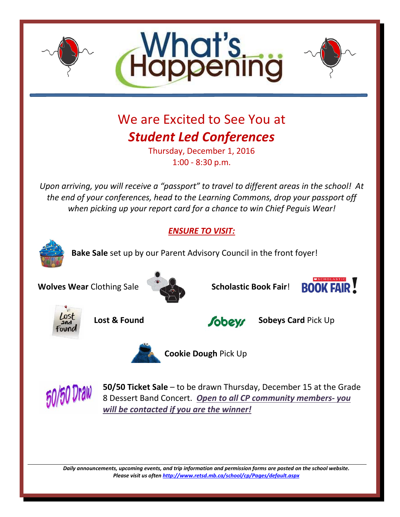

*Daily announcements, upcoming events, and trip information and permission forms are posted on the school website. Please visit us ofte[n http://www.retsd.mb.ca/school/cp/Pages/default.aspx](http://www.retsd.mb.ca/school/cp/Pages/default.aspx)*